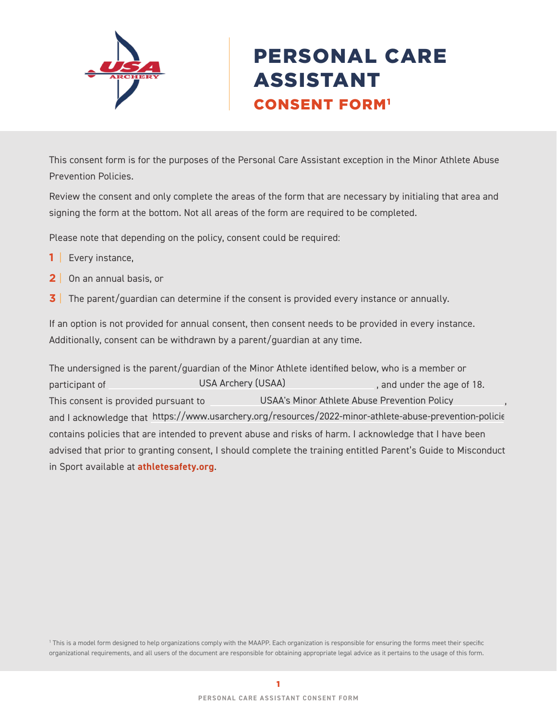

# PERSONAL CARE ASSISTANT CONSENT FORM1

This consent form is for the purposes of the Personal Care Assistant exception in the Minor Athlete Abuse Prevention Policies.

Review the consent and only complete the areas of the form that are necessary by initialing that area and signing the form at the bottom. Not all areas of the form are required to be completed.

Please note that depending on the policy, consent could be required:

- **1** | Every instance,
- **2** | On an annual basis, or
- **3** The parent/guardian can determine if the consent is provided every instance or annually.

If an option is not provided for annual consent, then consent needs to be provided in every instance. Additionally, consent can be withdrawn by a parent/guardian at any time.

The undersigned is the parent/guardian of the Minor Athlete identified below, who is a member or participant of **EXALUSA CONCOCOL** USA Archery (USAA) participant of age of 18. This consent is provided pursuant to **Consense COSA** and USAA's Minor Athlete Abuse Prevention Policy **Consense and S** and I acknowledge that https://www.usarchery.org/resources/2022-minor-athlete-abuse-prevention-policie contains policies that are intended to prevent abuse and risks of harm. I acknowledge that I have been advised that prior to granting consent, I should complete the training entitled Parent's Guide to Misconduct in Sport available at **[athletesafety.org](https://www.athletesafety.org/)**. USA Archery (USAA)

1 This is a model form designed to help organizations comply with the MAAPP. Each organization is responsible for ensuring the forms meet their specific organizational requirements, and all users of the document are responsible for obtaining appropriate legal advice as it pertains to the usage of this form.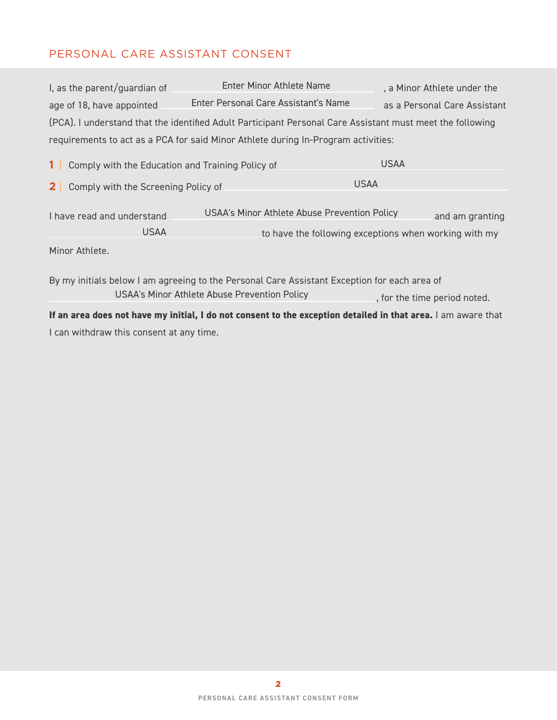# PERSONAL CARE ASSISTANT CONSENT

| I, as the parent/guardian of                                       | Enter Minor Athlete Name                                                                                                                     |             | a Minor Athlete under the    |
|--------------------------------------------------------------------|----------------------------------------------------------------------------------------------------------------------------------------------|-------------|------------------------------|
| age of 18, have appointed                                          | Enter Personal Care Assistant's Name                                                                                                         |             | as a Personal Care Assistant |
|                                                                    | (PCA). I understand that the identified Adult Participant Personal Care Assistant must meet the following                                    |             |                              |
|                                                                    | requirements to act as a PCA for said Minor Athlete during In-Program activities:                                                            |             |                              |
| 1 <sup>1</sup><br>Comply with the Education and Training Policy of |                                                                                                                                              | <b>USAA</b> |                              |
| Comply with the Screening Policy of<br>2 <sup>1</sup>              |                                                                                                                                              | <b>USAA</b> |                              |
| I have read and understand                                         | USAA's Minor Athlete Abuse Prevention Policy                                                                                                 |             | and am granting              |
| <b>USAA</b>                                                        | to have the following exceptions when working with my                                                                                        |             |                              |
| Minor Athlete.                                                     |                                                                                                                                              |             |                              |
|                                                                    | By my initials below I am agreeing to the Personal Care Assistant Exception for each area of<br>USAA's Minor Athlete Abuse Prevention Policy |             | , for the time period noted. |

**If an area does not have my initial, I do not consent to the exception detailed in that area.** I am aware that I can withdraw this consent at any time.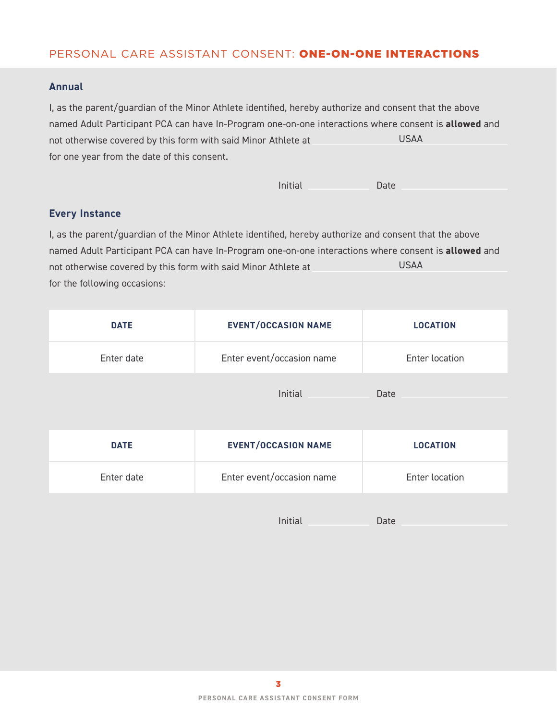## PERSONAL CARE ASSISTANT CONSENT: ONE-ON-ONE INTERACTIONS

#### **Annual**

I, as the parent/guardian of the Minor Athlete identified, hereby authorize and consent that the above named Adult Participant PCA can have In-Program one-on-one interactions where consent is **allowed** and not otherwise covered by this form with said Minor Athlete at for one year from the date of this consent. USAA

#### **Every Instance**

I, as the parent/guardian of the Minor Athlete identified, hereby authorize and consent that the above named Adult Participant PCA can have In-Program one-on-one interactions where consent is **allowed** and not otherwise covered by this form with said Minor Athlete at for the following occasions: USAA

| <b>DATE</b> | <b>EVENT/OCCASION NAME</b> | <b>LOCATION</b>       |
|-------------|----------------------------|-----------------------|
| Enter date  | Enter event/occasion name  | Enter location        |
|             | Initial                    | Date                  |
|             |                            |                       |
|             |                            |                       |
| <b>DATE</b> | <b>EVENT/OCCASION NAME</b> | <b>LOCATION</b>       |
| Enter date  | Enter event/occasion name  | <b>Enter location</b> |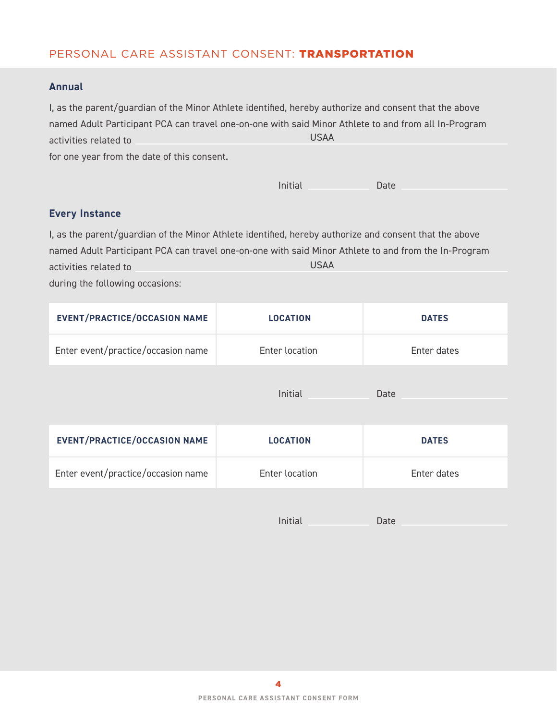## PERSONAL CARE ASSISTANT CONSENT: TRANSPORTATION

#### **Annual**

| I, as the parent/quardian of the Minor Athlete identified, hereby authorize and consent that the above |             |  |
|--------------------------------------------------------------------------------------------------------|-------------|--|
| named Adult Participant PCA can travel one-on-one with said Minor Athlete to and from all In-Program   |             |  |
| activities related to                                                                                  | <b>USAA</b> |  |
| for one year from the date of this consent.                                                            |             |  |

|  | Initial | Date |
|--|---------|------|
|--|---------|------|

## **Every Instance**

I, as the parent/guardian of the Minor Athlete identified, hereby authorize and consent that the above named Adult Participant PCA can travel one-on-one with said Minor Athlete to and from the In-Program activities related to USAA

during the following occasions:

| <b>EVENT/PRACTICE/OCCASION NAME</b> | <b>LOCATION</b> | <b>DATES</b> |
|-------------------------------------|-----------------|--------------|
| Enter event/practice/occasion name  | Enter location  | Enter dates  |
|                                     | Initial         | Date         |
| <b>EVENT/PRACTICE/OCCASION NAME</b> | <b>LOCATION</b> | <b>DATES</b> |
| Enter event/practice/occasion name  | Enter location  | Enter dates  |
|                                     | Initial         | Date         |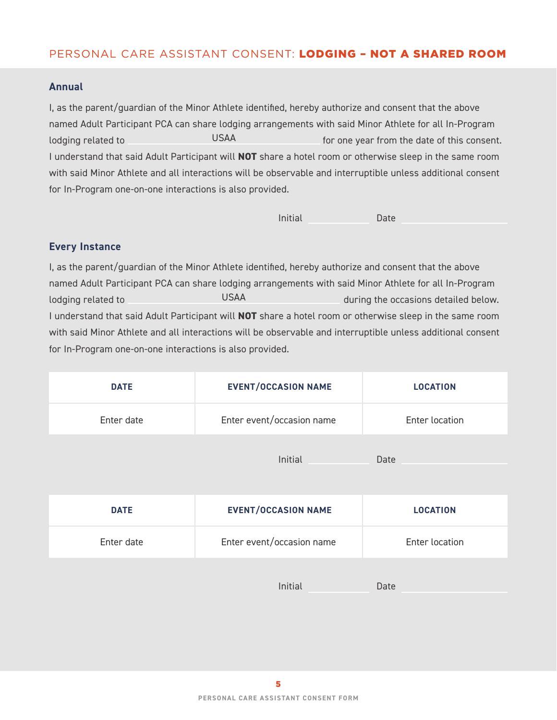## PERSONAL CARE ASSISTANT CONSENT: LODGING – NOT A SHARED ROOM

#### **Annual**

I, as the parent/guardian of the Minor Athlete identified, hereby authorize and consent that the above named Adult Participant PCA can share lodging arrangements with said Minor Athlete for all In-Program lodging related to **Form the USAA For one year from the date of this consent.** I understand that said Adult Participant will **NOT** share a hotel room or otherwise sleep in the same room with said Minor Athlete and all interactions will be observable and interruptible unless additional consent for In-Program one-on-one interactions is also provided. USAA

| Initial | Date |
|---------|------|
|         |      |

#### **Every Instance**

I, as the parent/guardian of the Minor Athlete identified, hereby authorize and consent that the above named Adult Participant PCA can share lodging arrangements with said Minor Athlete for all In-Program lodging related to **during the occasions detailed below.** during the occasions detailed below. I understand that said Adult Participant will **NOT** share a hotel room or otherwise sleep in the same room with said Minor Athlete and all interactions will be observable and interruptible unless additional consent for In-Program one-on-one interactions is also provided. USAA

| <b>DATE</b> | <b>EVENT/OCCASION NAME</b> | <b>LOCATION</b> |
|-------------|----------------------------|-----------------|
| Enter date  | Enter event/occasion name  | Enter location  |
|             | Initial                    | Date            |

| <b>DATE</b> | <b>EVENT/OCCASION NAME</b> | <b>LOCATION</b> |
|-------------|----------------------------|-----------------|
| Enter date  | Enter event/occasion name  | Enter location  |
|             |                            |                 |

Initial Date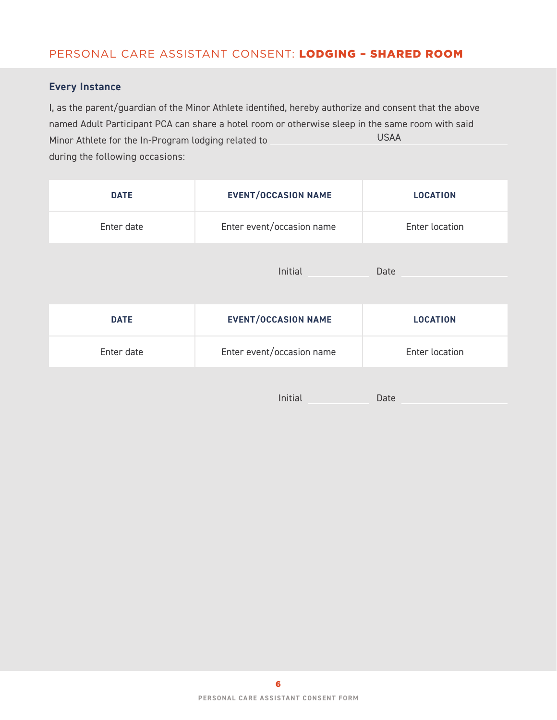## PERSONAL CARE ASSISTANT CONSENT: LODGING – SHARED ROOM

### **Every Instance**

I, as the parent/guardian of the Minor Athlete identified, hereby authorize and consent that the above named Adult Participant PCA can share a hotel room or otherwise sleep in the same room with said Minor Athlete for the In-Program lodging related to during the following occasions: USAA

| <b>DATE</b> | <b>EVENT/OCCASION NAME</b> | <b>LOCATION</b> |
|-------------|----------------------------|-----------------|
| Enter date  | Enter event/occasion name  | Enter location  |
|             | Initial                    | Date            |
| <b>DATE</b> | <b>EVENT/OCCASION NAME</b> | <b>LOCATION</b> |
| Enter date  | Enter event/occasion name  | Enter location  |
|             | Initial                    | Date            |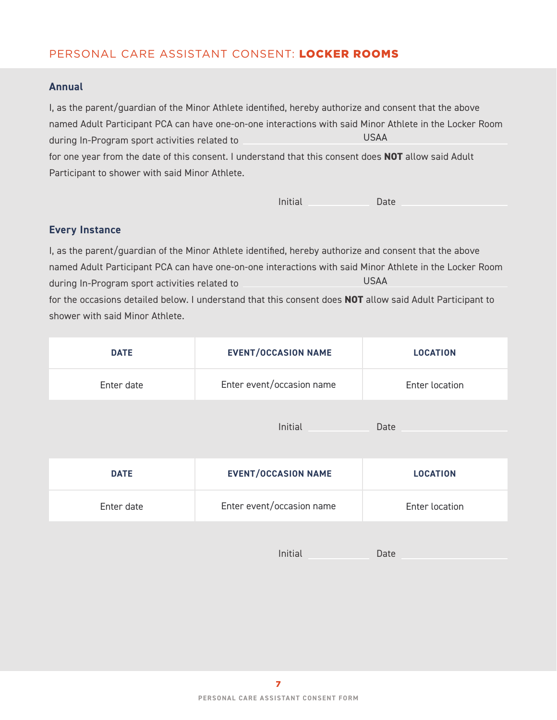## PERSONAL CARE ASSISTANT CONSENT: LOCKER ROOMS

#### **Annual**

I, as the parent/guardian of the Minor Athlete identified, hereby authorize and consent that the above named Adult Participant PCA can have one-on-one interactions with said Minor Athlete in the Locker Room during In-Program sport activities related to for one year from the date of this consent. I understand that this consent does **NOT** allow said Adult Participant to shower with said Minor Athlete. USAA

Initial Date

#### **Every Instance**

I, as the parent/guardian of the Minor Athlete identified, hereby authorize and consent that the above named Adult Participant PCA can have one-on-one interactions with said Minor Athlete in the Locker Room during In-Program sport activities related to for the occasions detailed below. I understand that this consent does **NOT** allow said Adult Participant to shower with said Minor Athlete. USAA

| <b>DATE</b> | <b>EVENT/OCCASION NAME</b> | <b>LOCATION</b>       |
|-------------|----------------------------|-----------------------|
| Enter date  | Enter event/occasion name  | <b>Enter location</b> |
|             | Initial                    | Date                  |
| <b>DATE</b> | <b>EVENT/OCCASION NAME</b> | <b>LOCATION</b>       |
| Enter date  | Enter event/occasion name  | Enter location        |

Initial Date